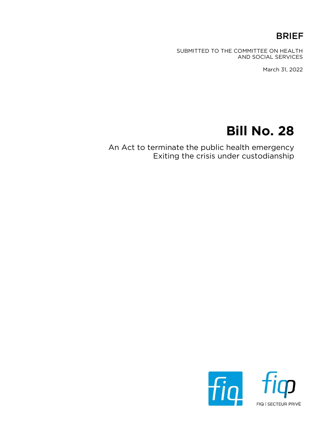### BRIEF

SUBMITTED TO THE COMMITTEE ON HEALTH AND SOCIAL SERVICES

March 31, 2022

# Bill No. 28

An Act to terminate the public health emergency Exiting the crisis under custodianship

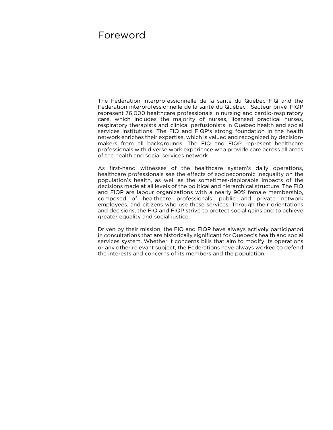### Foreword

The Fédération interprofessionnelle de la santé du Québec–FIQ and the Fédération interprofessionnelle de la santé du Québec | Secteur privé–FIQP represent 76,000 healthcare professionals in nursing and cardio-respiratory care, which includes the majority of nurses, licensed practical nurses, respiratory therapists and clinical perfusionists in Quebec health and social services institutions. The FIQ and FIQP's strong foundation in the health network enriches their expertise, which is valued and recognized by decisionmakers from all backgrounds. The FIQ and FIQP represent healthcare professionals with diverse work experience who provide care across all areas of the health and social services network.

As first-hand witnesses of the healthcare system's daily operations, healthcare professionals see the effects of socioeconomic inequality on the population's health, as well as the sometimes-deplorable impacts of the decisions made at all levels of the political and hierarchical structure. The FIQ and FIQP are labour organizations with a nearly 90% female membership, composed of healthcare professionals, public and private network employees, and citizens who use these services. Through their orientations and decisions, the FIQ and FIQP strive to protect social gains and to achieve greater equality and social justice.

Driven by their mission, the FIQ and FIQP have always actively participated in consultations that are historically significant for Quebec's health and social services system. Whether it concerns bills that aim to modify its operations or any other relevant subject, the Federations have always worked to defend the interests and concerns of its members and the population.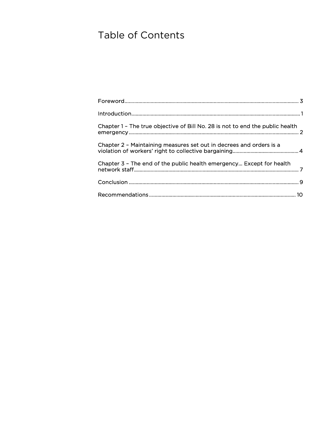## Table of Contents

| Chapter 1 - The true objective of Bill No. 28 is not to end the public health |  |
|-------------------------------------------------------------------------------|--|
| Chapter 2 - Maintaining measures set out in decrees and orders is a           |  |
| Chapter 3 - The end of the public health emergency Except for health          |  |
|                                                                               |  |
|                                                                               |  |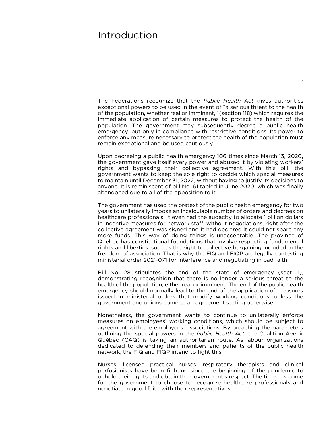### Introduction

The Federations recognize that the Public Health Act gives authorities exceptional powers to be used in the event of "a serious threat to the health of the population, whether real or imminent," (section 118) which requires the immediate application of certain measures to protect the health of the population. The government may subsequently decree a public health emergency, but only in compliance with restrictive conditions. Its power to enforce any measure necessary to protect the health of the population must remain exceptional and be used cautiously.

Upon decreeing a public health emergency 106 times since March 13, 2020, the government gave itself every power and abused it by violating workers' rights and bypassing their collective agreement. With this bill, the government wants to keep the sole right to decide which special measures to maintain until December 31, 2022, without having to justify its decisions to anyone. It is reminiscent of bill No. 61 tabled in June 2020, which was finally abandoned due to all of the opposition to it.

The government has used the pretext of the public health emergency for two years to unilaterally impose an incalculable number of orders and decrees on healthcare professionals. It even had the audacity to allocate 1 billion dollars in incentive measures for network staff, without negotiations, right after the collective agreement was signed and it had declared it could not spare any more funds. This way of doing things is unacceptable. The province of Quebec has constitutional foundations that involve respecting fundamental rights and liberties, such as the right to collective bargaining included in the freedom of association. That is why the FIQ and FIQP are legally contesting ministerial order 2021-071 for interference and negotiating in bad faith.

Bill No. 28 stipulates the end of the state of emergency (sect. 1), demonstrating recognition that there is no longer a serious threat to the health of the population, either real or imminent. The end of the public health emergency should normally lead to the end of the application of measures issued in ministerial orders that modify working conditions, unless the government and unions come to an agreement stating otherwise.

Nonetheless, the government wants to continue to unilaterally enforce measures on employees' working conditions, which should be subject to agreement with the employees' associations. By breaching the parameters outlining the special powers in the *Public Health Act*, the Coalition Avenir Québec (CAQ) is taking an authoritarian route. As labour organizations dedicated to defending their members and patients of the public health network, the FIQ and FIQP intend to fight this.

Nurses, licensed practical nurses, respiratory therapists and clinical perfusionists have been fighting since the beginning of the pandemic to uphold their rights and obtain the government's respect. The time has come for the government to choose to recognize healthcare professionals and negotiate in good faith with their representatives.

1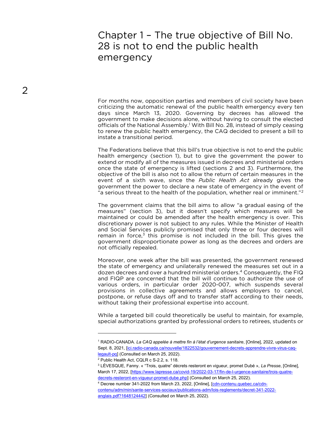### Chapter 1 – The true objective of Bill No. 28 is not to end the public health emergency

For months now, opposition parties and members of civil society have been criticizing the automatic renewal of the public health emergency every ten days since March 13, 2020. Governing by decrees has allowed the government to make decisions alone, without having to consult the elected officials of the National Assembly.<sup>1</sup> With Bill No. 28, instead of simply ceasing to renew the public health emergency, the CAQ decided to present a bill to instate a transitional period.

The Federations believe that this bill's true objective is not to end the public health emergency (section 1), but to give the government the power to extend or modify all of the measures issued in decrees and ministerial orders once the state of emergency is lifted (sections 2 and 3). Furthermore, the objective of the bill is also not to allow the return of certain measures in the event of a sixth wave, since the *Public Health Act* already gives the government the power to declare a new state of emergency in the event of "a serious threat to the health of the population, whether real or imminent."<sup>2</sup>

The government claims that the bill aims to allow "a gradual easing of the measures" (section 3), but it doesn't specify which measures will be maintained or could be amended after the health emergency is over. This discretionary power is not subject to any rules. While the Minister of Health and Social Services publicly promised that only three or four decrees will remain in force, $3$  this promise is not included in the bill. This gives the government disproportionate power as long as the decrees and orders are not officially repealed.

Moreover, one week after the bill was presented, the government renewed the state of emergency and unilaterally renewed the measures set out in a dozen decrees and over a hundred ministerial orders.<sup>4</sup> Consequently, the FIQ and FIQP are concerned that the bill will continue to authorize the use of various orders, in particular order 2020-007, which suspends several provisions in collective agreements and allows employers to cancel, postpone, or refuse days off and to transfer staff according to their needs, without taking their professional expertise into account.

While a targeted bill could theoretically be useful to maintain, for example, special authorizations granted by professional orders to retirees, students or

<sup>&</sup>lt;sup>1</sup> RADIO-CANADA. *La CAQ appelée à mettre fin à l'état d'urgence sanitaire*, [Online], 2022, updated on Sept. 8, 2021, [ici.radio-canada.ca/nouvelle/1822532/gouvernement-decrets-apprendre-vivre-virus-caqlegault-pq] (Consulted on March 25, 2022).

<sup>&</sup>lt;sup>2</sup> Public Health Act, CQLR c S-2.2, s. 118.

<sup>&</sup>lt;sup>3</sup> LÉVESQUE, Fanny. « "Trois, quatre" décrets resteront en vigueur, promet Dubé », *La Presse*, [Online], March 17, 2022, [https://www.lapresse.ca/covid-19/2022-03-17/fin-de-l-urgence-sanitaire/trois-quatredecrets-resteront-en-vigueur-promet-dube.php] (Consulted on March 25, 2022).

<sup>&</sup>lt;sup>4</sup> Decree number 341-2022 from March 23, 2022, [Online], [cdn-contenu.quebec.ca/cdncontenu/adm/min/sante-services-sociaux/publications-adm/lois-reglements/decret-341-2022 anglais.pdf?1648124442] (Consulted on March 25, 2022).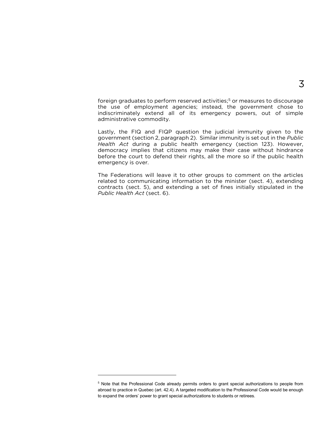foreign graduates to perform reserved activities;<sup>5</sup> or measures to discourage the use of employment agencies; instead, the government chose to indiscriminately extend all of its emergency powers, out of simple administrative commodity.

Lastly, the FIQ and FIQP question the judicial immunity given to the government (section 2, paragraph 2). Similar immunity is set out in the Public Health Act during a public health emergency (section 123). However, democracy implies that citizens may make their case without hindrance before the court to defend their rights, all the more so if the public health emergency is over.

The Federations will leave it to other groups to comment on the articles related to communicating information to the minister (sect. 4), extending contracts (sect. 5), and extending a set of fines initially stipulated in the Public Health Act (sect. 6).

<sup>&</sup>lt;sup>5</sup> Note that the Professional Code already permits orders to grant special authorizations to people from abroad to practice in Quebec (art. 42.4). A targeted modification to the Professional Code would be enough to expand the orders' power to grant special authorizations to students or retirees.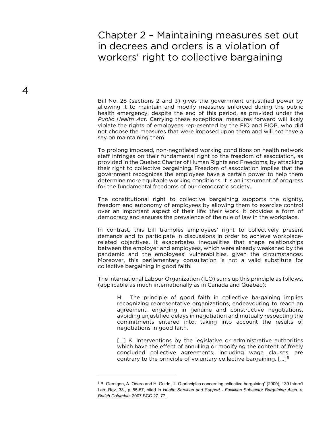### Chapter 2 – Maintaining measures set out in decrees and orders is a violation of workers' right to collective bargaining

Bill No. 28 (sections 2 and 3) gives the government unjustified power by allowing it to maintain and modify measures enforced during the public health emergency, despite the end of this period, as provided under the Public Health Act. Carrying these exceptional measures forward will likely violate the rights of employees represented by the FIQ and FIQP, who did not choose the measures that were imposed upon them and will not have a say on maintaining them.

To prolong imposed, non-negotiated working conditions on health network staff infringes on their fundamental right to the freedom of association, as provided in the Quebec Charter of Human Rights and Freedoms, by attacking their right to collective bargaining. Freedom of association implies that the government recognizes the employees have a certain power to help them determine more equitable working conditions. It is an instrument of progress for the fundamental freedoms of our democratic society.

The constitutional right to collective bargaining supports the dignity, freedom and autonomy of employees by allowing them to exercise control over an important aspect of their life: their work. It provides a form of democracy and ensures the prevalence of the rule of law in the workplace.

In contrast, this bill tramples employees' right to collectively present demands and to participate in discussions in order to achieve workplacerelated objectives. It exacerbates inequalities that shape relationships between the employer and employees, which were already weakened by the pandemic and the employees' vulnerabilities, given the circumstances. Moreover, this parliamentary consultation is not a valid substitute for collective bargaining in good faith.

The International Labour Organization (ILO) sums up this principle as follows, (applicable as much internationally as in Canada and Quebec):

H. The principle of good faith in collective bargaining implies recognizing representative organizations, endeavouring to reach an agreement, engaging in genuine and constructive negotiations, avoiding unjustified delays in negotiation and mutually respecting the commitments entered into, taking into account the results of negotiations in good faith.

[...] K. Interventions by the legislative or administrative authorities which have the effect of annulling or modifying the content of freely concluded collective agreements, including wage clauses, are contrary to the principle of voluntary collective bargaining. […]<sup>6</sup>

<sup>&</sup>lt;sup>6</sup> B. Gernigon, A. Odero and H. Guido, "ILO principles concerning collective bargaining" (2000), 139 Intern'l Lab. Rev. 33., p. 55-57, cited in Health Services and Support - Facilities Subsector Bargaining Assn. v. British Columbia, 2007 SCC 27. 77.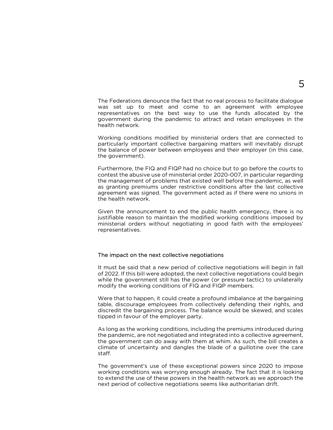The Federations denounce the fact that no real process to facilitate dialogue was set up to meet and come to an agreement with employee representatives on the best way to use the funds allocated by the government during the pandemic to attract and retain employees in the health network.

Working conditions modified by ministerial orders that are connected to particularly important collective bargaining matters will inevitably disrupt the balance of power between employees and their employer (in this case, the government).

Furthermore, the FIQ and FIQP had no choice but to go before the courts to contest the abusive use of ministerial order 2020-007, in particular regarding the management of problems that existed well before the pandemic, as well as granting premiums under restrictive conditions after the last collective agreement was signed. The government acted as if there were no unions in the health network.

Given the announcement to end the public health emergency, there is no justifiable reason to maintain the modified working conditions imposed by ministerial orders without negotiating in good faith with the employees' representatives.

#### The impact on the next collective negotiations

It must be said that a new period of collective negotiations will begin in fall of 2022. If this bill were adopted, the next collective negotiations could begin while the government still has the power (or pressure tactic) to unilaterally modify the working conditions of FIQ and FIQP members.

Were that to happen, it could create a profound imbalance at the bargaining table, discourage employees from collectively defending their rights, and discredit the bargaining process. The balance would be skewed, and scales tipped in favour of the employer party.

As long as the working conditions, including the premiums introduced during the pandemic, are not negotiated and integrated into a collective agreement, the government can do away with them at whim. As such, the bill creates a climate of uncertainty and dangles the blade of a guillotine over the care staff.

The government's use of these exceptional powers since 2020 to impose working conditions was worrying enough already. The fact that it is looking to extend the use of these powers in the health network as we approach the next period of collective negotiations seems like authoritarian drift.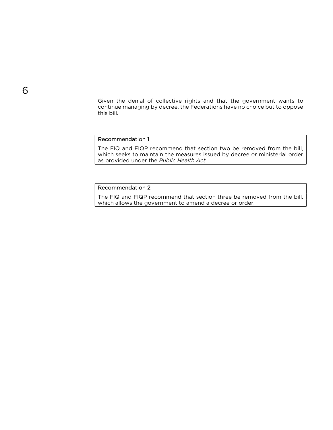Given the denial of collective rights and that the government wants to continue managing by decree, the Federations have no choice but to oppose this bill.

#### Recommendation 1

The FIQ and FIQP recommend that section two be removed from the bill, which seeks to maintain the measures issued by decree or ministerial order as provided under the Public Health Act.

#### Recommendation 2

The FIQ and FIQP recommend that section three be removed from the bill, which allows the government to amend a decree or order.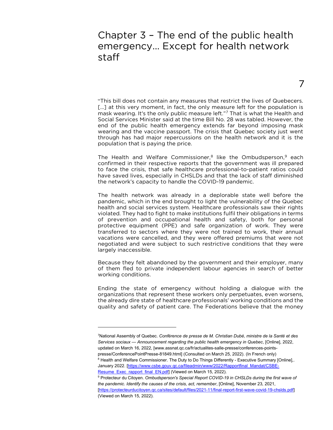### Chapter 3 – The end of the public health emergency... Except for health network staff

7

"This bill does not contain any measures that restrict the lives of Quebecers. [...] at this very moment, in fact, the only measure left for the population is mask wearing. It's the only public measure left."<sup>7</sup> That is what the Health and Social Services Minister said at the time Bill No. 28 was tabled. However, the end of the public health emergency extends far beyond imposing mask wearing and the vaccine passport. The crisis that Quebec society just went through has had major repercussions on the health network and it is the population that is paying the price.

The Health and Welfare Commissioner,<sup>8</sup> like the Ombudsperson,<sup>9</sup> each confirmed in their respective reports that the government was ill prepared to face the crisis, that safe healthcare professional-to-patient ratios could have saved lives, especially in CHSLDs and that the lack of staff diminished the network's capacity to handle the COVID-19 pandemic.

The health network was already in a deplorable state well before the pandemic, which in the end brought to light the vulnerability of the Quebec health and social services system. Healthcare professionals saw their rights violated. They had to fight to make institutions fulfil their obligations in terms of prevention and occupational health and safety, both for personal protective equipment (PPE) and safe organization of work. They were transferred to sectors where they were not trained to work, their annual vacations were cancelled, and they were offered premiums that were not negotiated and were subject to such restrictive conditions that they were largely inaccessible.

Because they felt abandoned by the government and their employer, many of them fled to private independent labour agencies in search of better working conditions.

Ending the state of emergency without holding a dialogue with the organizations that represent these workers only perpetuates, even worsens, the already dire state of healthcare professionals' working conditions and the quality and safety of patient care. The Federations believe that the money

January 2022. [https://www.csbe.gouv.qc.ca/fileadmin/www/2022/Rapportfinal\_Mandat/CSBE-Resume\_Exec\_rapport\_final\_EN.pdf] (Viewed on March 15, 2022).

<sup>7</sup>National Assembly of Quebec. Conférence de presse de M. Christian Dubé, ministre de la Santé et des Services sociaux — Announcement regarding the public health emergency in Quebec, [Online], 2022, updated on March 16, 2022, [www.assnat.qc.ca/fr/actualites-salle-presse/conferences-pointspresse/ConferencePointPresse-81849.html] (Consulted on March 25, 2022). (In French only) <sup>8</sup> Health and Welfare Commissioner. The Duty to Do Things Differently - Executive Summary [Online],.

<sup>&</sup>lt;sup>9</sup> Protecteur du Citoyen. Ombudsperson's Special Report COVID-19 in CHSLDs during the first wave of the pandemic. Identify the causes of the crisis, act, remember, [Online], November 23, 2021, [https://protecteurducitoyen.qc.ca/sites/default/files/2021-11/final-report-first-wave-covid-19-chslds.pdf] (Viewed on March 15, 2022).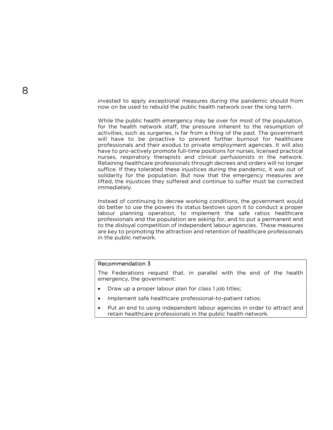invested to apply exceptional measures during the pandemic should from now on be used to rebuild the public health network over the long term.

While the public health emergency may be over for most of the population, for the health network staff, the pressure inherent to the resumption of activities, such as surgeries, is far from a thing of the past. The government will have to be proactive to prevent further burnout for healthcare professionals and their exodus to private employment agencies. It will also have to pro-actively promote full-time positions for nurses, licensed practical nurses, respiratory therapists and clinical perfusionists in the network. Retaining healthcare professionals through decrees and orders will no longer suffice. If they tolerated these injustices during the pandemic, it was out of solidarity for the population. But now that the emergency measures are lifted, the injustices they suffered and continue to suffer must be corrected immediately.

Instead of continuing to decree working conditions, the government would do better to use the powers its status bestows upon it to conduct a proper labour planning operation, to implement the safe ratios healthcare professionals and the population are asking for, and to put a permanent end to the disloyal competition of independent labour agencies. These measures are key to promoting the attraction and retention of healthcare professionals in the public network.

#### Recommendation 3

The Federations request that, in parallel with the end of the health emergency, the government:

- Draw up a proper labour plan for class 1 job titles;
- Implement safe healthcare professional-to-patient ratios;
- Put an end to using independent labour agencies in order to attract and retain healthcare professionals in the public health network.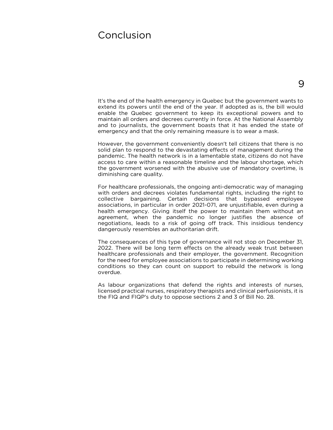### Conclusion

9

It's the end of the health emergency in Quebec but the government wants to extend its powers until the end of the year. If adopted as is, the bill would enable the Quebec government to keep its exceptional powers and to maintain all orders and decrees currently in force. At the National Assembly and to journalists, the government boasts that it has ended the state of emergency and that the only remaining measure is to wear a mask.

However, the government conveniently doesn't tell citizens that there is no solid plan to respond to the devastating effects of management during the pandemic. The health network is in a lamentable state, citizens do not have access to care within a reasonable timeline and the labour shortage, which the government worsened with the abusive use of mandatory overtime, is diminishing care quality.

For healthcare professionals, the ongoing anti-democratic way of managing with orders and decrees violates fundamental rights, including the right to collective bargaining. Certain decisions that bypassed employee associations, in particular in order 2021-071, are unjustifiable, even during a health emergency. Giving itself the power to maintain them without an agreement, when the pandemic no longer justifies the absence of negotiations, leads to a risk of going off track. This insidious tendency dangerously resembles an authoritarian drift.

The consequences of this type of governance will not stop on December 31, 2022. There will be long term effects on the already weak trust between healthcare professionals and their employer, the government. Recognition for the need for employee associations to participate in determining working conditions so they can count on support to rebuild the network is long overdue.

As labour organizations that defend the rights and interests of nurses, licensed practical nurses, respiratory therapists and clinical perfusionists, it is the FIQ and FIQP's duty to oppose sections 2 and 3 of Bill No. 28.